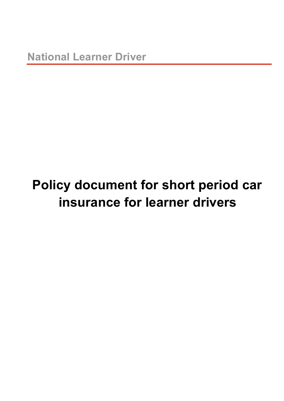# **Policy document for short period car insurance for learner drivers**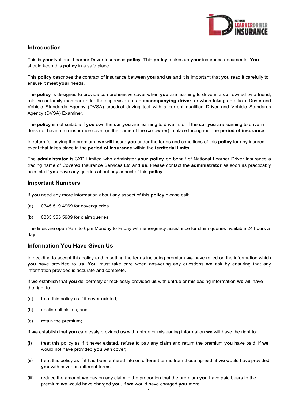

# **Introduction**

This is **your** National Learner Driver Insurance **policy**. This **policy** makes up **your** insurance documents. **You** should keep this **policy** in a safe place.

This **policy** describes the contract of insurance between **you** and **us** and it is important that **you** read it carefully to ensure it meet **your** needs.

The **policy** is designed to provide comprehensive cover when **you** are learning to drive in a **car** owned by a friend, relative or family member under the supervision of an **accompanying driver**, or when taking an official Driver and Vehicle Standards Agency (DVSA) practical driving test with a current qualified Driver and Vehicle Standards Agency (DVSA) Examiner.

The **policy** is not suitable if **you** own the **car you** are learning to drive in, or if the **car you** are learning to drive in does not have main insurance cover (in the name of the **car** owner) in place throughout the **period of insurance**.

In return for paying the premium, **we** will insure **you** under the terms and conditions of this **policy** for any insured event that takes place in the **period of insurance** within the **territorial limits**.

The **administrator** is 3XD Limited who administer **your policy** on behalf of National Learner Driver Insurance a trading name of Covered Insurance Services Ltd and **us**. Please contact the **administrator** as soon as practicably possible if **you** have any queries about any aspect of this **policy**.

## **Important Numbers**

If **you** need any more information about any aspect of this **policy** please call:

- (a) 0345 519 4969 for cover queries
- (b) 0333 555 5909 for claim queries

The lines are open 9am to 6pm Monday to Friday with emergency assistance for claim queries available 24 hours a day.

# **Information You Have Given Us**

In deciding to accept this policy and in setting the terms including premium **we** have relied on the information which **you** have provided to **us**. **You** must take care when answering any questions **we** ask by ensuring that any information provided is accurate and complete.

If **we** establish that **you** deliberately or recklessly provided **us** with untrue or misleading information **we** will have the right to:

- (a) treat this policy as if it never existed;
- (b) decline all claims; and
- (c) retain the premium;

If **we** establish that **you** carelessly provided **us** with untrue or misleading information **we** will have the right to:

- **(i)** treat this policy as if it never existed, refuse to pay any claim and return the premium **you** have paid, if **we** would not have provided **you** with cover;
- (ii) treat this policy as if it had been entered into on different terms from those agreed, if **we** would have provided **you** with cover on different terms;
- (iii) reduce the amount **we** pay on any claim in the proportion that the premium **you** have paid bears to the premium **we** would have charged **you**, if **we** would have charged **you** more.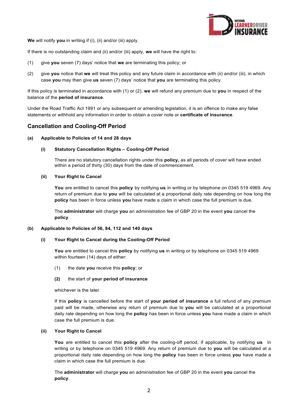

**We** will notify **you** in writing if (i), (ii) and/or (iii) apply.

If there is no outstanding claim and (ii) and/or (iii) apply, **we** will have the right to:

- (1) give **you** seven (7) days' notice that **we** are terminating this policy; or
- (2) give **you** notice that **we** will treat this policy and any future claim in accordance with (ii) and/or (iii), in which case **you** may then give **us** seven (7) days' notice that **you** are terminating this policy.

If this policy is terminated in accordance with (1) or (2), **we** will refund any premium due to **you** in respect of the balance of the **period of insurance**.

Under the Road Traffic Act 1991 or any subsequent or amending legislation, it is an offence to make any false statements or withhold any information in order to obtain a cover note or **certificate of insurance**.

# **Cancellation and Cooling-Off Period**

#### **(a) Applicable to Policies of 14 and 28 days**

#### **(i) Statutory Cancellation Rights – Cooling-Off Period**

There are no statutory cancellation rights under this **policy,** as all periods of cover will have ended within a period of thirty (30) days from the date of commencement.

#### **(ii) Your Right to Cancel**

**You** are entitled to cancel this **policy** by notifying **us** in writing or by telephone on 0345 519 4969. Any return of premium due to **you** will be calculated at a proportional daily rate depending on how long the **policy** has been in force unless **you** have made a claim in which case the full premium is due.

The **administrator** will charge **you** an administration fee of GBP 20 in the event **you** cancel the **policy**.

#### **(b) Applicable to Policies of 56, 84, 112 and 140 days**

#### **(i) Your Right to Cancel during the Cooling-Off Period**

**You** are entitled to cancel this **policy** by notifying **us** in writing or by telephone on 0345 519 4969 within fourteen (14) days of either:

- (1) the date **you** receive this **policy**; or
- **(2)** the start of **your period of insurance**

whichever is the later.

If this **policy** is cancelled before the start of **your period of insurance** a full refund of any premium paid will be made, otherwise any return of premium due to **you** will be calculated at a proportional daily rate depending on how long the **policy** has been in force unless **you** have made a claim in which case the full premium is due.

#### **(ii) Your Right to Cancel**

**You** are entitled to cancel this **policy** after the cooling-off period, if applicable, by notifying **us** in writing or by telephone on 0345 519 4969. Any return of premium due to **you** will be calculated at a proportional daily rate depending on how long the **policy** has been in force unless **you** have made a claim in which case the full premium is due.

The **administrator** will charge **you** an administration fee of GBP 20 in the event **you** cancel the **policy**.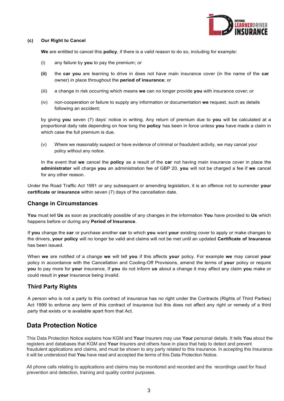

#### **(c) Our Right to Cancel**

**We** are entitled to cancel this **policy**, if there is a valid reason to do so, including for example:

- (i) any failure by **you** to pay the premium; or
- **(ii)** the **car you** are learning to drive in does not have main insurance cover (in the name of the **car** owner) in place throughout the **period of insurance**; or
- (iii) a change in risk occurring which means **we** can no longer provide **you** with insurance cover; or
- (iv) non-cooperation or failure to supply any information or documentation **we** request, such as details following an accident;

by giving **you** seven (7) days' notice in writing. Any return of premium due to **you** will be calculated at a proportional daily rate depending on how long the **policy** has been in force unless **you** have made a claim in which case the full premium is due.

(v) Where we reasonably suspect or have evidence of criminal or fraudulent activity, we may cancel your policy without any notice.

In the event that **we** cancel the **policy** as a result of the **car** not having main insurance cover in place the **administrator** will charge **you** an administration fee of GBP 20, **you** will not be charged a fee if **we** cancel for any other reason.

Under the Road Traffic Act 1991 or any subsequent or amending legislation, it is an offence not to surrender **your certificate or insurance** within seven (7) days of the cancellation date.

## **Change in Circumstances**

**You** must tell **Us** as soon as practicably possible of any changes in the information **You** have provided to **Us** which happens before or during any **Period of Insurance**.

If **you** change the **car** or purchase another **car** to which **you** want **your** existing cover to apply or make changes to the drivers, **your policy** will no longer be valid and claims will not be met until an updated **Certificate of Insurance**  has been issued.

When **we** are notified of a change **we** will tell **you** if this affects **your** policy. For example **we** may cancel **your**  policy in accordance with the Cancellation and Cooling-Off Provisions, amend the terms of **your** policy or require **you** to pay more for **your** insurance. If **you** do not inform **us** about a change it may affect any claim **you** make or could result in **your** insurance being invalid.

## **Third Party Rights**

A person who is not a party to this contract of insurance has no right under the Contracts (Rights of Third Parties) Act 1999 to enforce any term of this contract of insurance but this does not affect any right or remedy of a third party that exists or is available apart from that Act.

# **Data Protection Notice**

This Data Protection Notice explains how KGM and **Your** Insurers may use **Your** personal details. It tells **You** about the registers and databases that KGM and **Your** Insurers and others have in place that help to detect and prevent fraudulent applications and claims, and must be shown to any party related to this insurance. In accepting this Insurance it will be understood that **You** have read and accepted the terms of this Data Protection Notice.

All phone calls relating to applications and claims may be monitored and recorded and the recordings used for fraud prevention and detection, training and quality control purposes.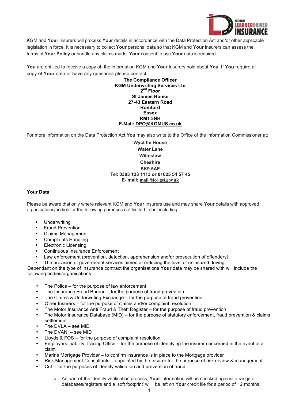

KGM and **Your** Insurers will process **Your** details in accordance with the Data Protection Act and/or other applicable legislation in force. It is necessary to collect **Your** personal data so that KGM and **Your** Insurers can assess the terms of **Your Policy** or handle any claims made. **Your** consent to use **Your** data is required.

**You** are entitled to receive a copy of the information KGM and **Your** Insurers hold about **You**. If **You** require a copy of **Your** data or have any questions please contact:

> **The Compliance Officer KGM Underwriting Services Ltd 2 nd Floor St James House 27-43 Eastern Road Romford Essex RM1 3NH E-Mail: DPO@KGMUS.co.uk**

For more information on the Data Protection Act **You** may also write to the Office of the Information Commissioner at:

**Wycliffe House Water Lane Wilmslow Cheshire SK9 5AF Tel: 0303 123 1113 or 01625 54 57 45 E- mail: mail@ico.gsi.gov.uk**

## **Your Data**

Please be aware that only where relevant KGM and **Your** Insurers use and may share **Your** details with approved organisations/bodies for the following purposes not limited to but including:

- **Underwriting**
- Fraud Prevention
- Claims Management
- Complaints Handling
- Electronic Licensing
- Continuous Insurance Enforcement
- Law enforcement (prevention, detection, apprehension and/or prosecution of offenders)
- The provision of government services aimed at reducing the level of uninsured driving

Dependant on the type of Insurance contract the organisations **Your** data may be shared with will include the following bodies/organisations:

- The Police for the purpose of law enforcement
- The Insurance Fraud Bureau for the purpose of fraud prevention
- The Claims & Underwriting Exchange for the purpose of fraud prevention
- Other Insurers for the purpose of claims and/or complaint resolution
- The Motor Insurance Anti Fraud & Theft Register for the purpose of fraud prevention
- The Motor Insurance Database (MID) for the purpose of statutory enforcement, fraud prevention & claims settlement
- The DVLA see MID
- The DVANI see MID
- Lloyds & FOS for the purpose of complaint resolution
- Employers Liability Tracing Office for the purpose of identifying the insurer concerned in the event of a claim
- Marine Mortgage Provider to confirm insurance is in place to the Mortgage provider
- Risk Management Consultants appointed by the Insurer for the purpose of risk review & management
- Crif for the purposes of identity validation and prevention of fraud
	- o As part of the identity verification process, **Your** information will be checked against a range of databases/registers and a 'soft footprint' will be left on **Your** credit file for a period of 12 months.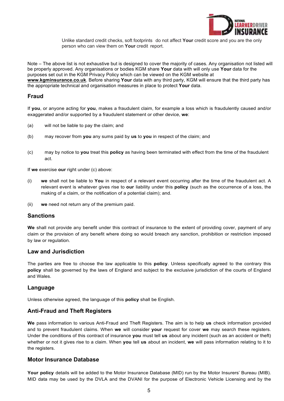

Unlike standard credit checks, soft footprints do not affect **Your** credit score and you are the only person who can view them on **Your** credit report.

Note – The above list is not exhaustive but is designed to cover the majority of cases. Any organisation not listed will be properly approved. Any organisations or bodies KGM share **Your** data with will only use **Your** data for the purposes set out in the KGM Privacy Policy which can be viewed on the KGM website at **www.kgminsurance.co.uk**. Before sharing **Your** data with any third party, KGM will ensure that the third party has the appropriate technical and organisation measures in place to protect **Your** data.

## **Fraud**

If **you**, or anyone acting for **you**, makes a fraudulent claim, for example a loss which is fraudulently caused and/or exaggerated and/or supported by a fraudulent statement or other device, **we**:

- (a) will not be liable to pay the claim; and
- (b) may recover from **you** any sums paid by **us** to **you** in respect of the claim; and
- (c) may by notice to **you** treat this **policy** as having been terminated with effect from the time of the fraudulent act.

If **we** exercise **our** right under (c) above:

- (i) **we** shall not be liable to **You** in respect of a relevant event occurring after the time of the fraudulent act. A relevant event is whatever gives rise to **our** liability under this **policy** (such as the occurrence of a loss, the making of a claim, or the notification of a potential claim); and.
- (ii) **we** need not return any of the premium paid.

## **Sanctions**

**We** shall not provide any benefit under this contract of insurance to the extent of providing cover, payment of any claim or the provision of any benefit where doing so would breach any sanction, prohibition or restriction imposed by law or regulation.

## **Law and Jurisdiction**

The parties are free to choose the law applicable to this **policy**. Unless specifically agreed to the contrary this **policy** shall be governed by the laws of England and subject to the exclusive jurisdiction of the courts of England and Wales.

## **Language**

Unless otherwise agreed, the language of this **policy** shall be English.

## **Anti-Fraud and Theft Registers**

**We** pass information to various Anti-Fraud and Theft Registers. The aim is to help **us** check information provided and to prevent fraudulent claims. When **we** will consider **your** request for cover **we** may search these registers. Under the conditions of this contract of insurance **you** must tell **us** about any incident (such as an accident or theft) whether or not it gives rise to a claim. When **you** tell **us** about an incident, **we** will pass information relating to it to the registers.

## **Motor Insurance Database**

**Your policy** details will be added to the Motor Insurance Database (MID) run by the Motor Insurers' Bureau (MIB). MID data may be used by the DVLA and the DVANI for the purpose of Electronic Vehicle Licensing and by the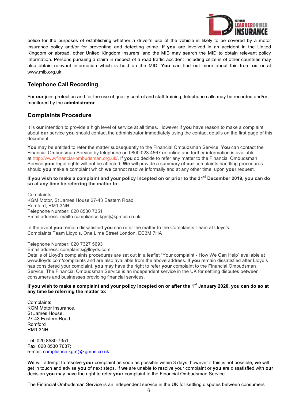

police for the purposes of establishing whether a driver's use of the vehicle is likely to be covered by a motor insurance policy and/or for preventing and detecting crime. If **you** are involved in an accident in the United Kingdom or abroad, other United Kingdom insurers' and the MIB may search the MID to obtain relevant policy information. Persons pursuing a claim in respect of a road traffic accident including citizens of other countries may also obtain relevant information which is held on the MID. **You** can find out more about this from **us** or at www.mib.org.uk

# **Telephone Call Recording**

For **our** joint protection and for the use of quality control and staff training, telephone calls may be recorded and/or monitored by the **administrator**.

# **Complaints Procedure**

It is **our** intention to provide a high level of service at all times. However if **you** have reason to make a complaint about **our** service **you** should contact the administrator immediately using the contact details on the first page of this document

**You** may be entitled to refer the matter subsequently to the Financial Ombudsman Service. **You** can contact the Financial Ombudsman Service by telephone on 0800 023 4567 or online and further information is available at http://www.financial-ombudsman.org.uk/. If **you** do decide to refer any matter to the Financial Ombudsman Service **your** legal rights will not be affected. **We** will provide a summary of **our** complaints handling procedures should **you** make a complaint which **we** cannot resolve informally and at any other time, upon **your** request.

**If you wish to make a complaint and your policy incepted on or prior to the 31st December 2019, you can do so at any time be referring the matter to:**

**Complaints** KGM Motor, St James House 27-43 Eastern Road Romford, RM1 3NH Telephone Number: 020 8530 7351 Email address: mailto:compliance.kgm@kgmus.co.uk

In the event **you** remain dissatisfied **you** can refer the matter to the Complaints Team at Lloyd's: Complaints Team Lloyd's, One Lime Street London, EC3M 7HA

Telephone Number: 020 7327 5693 Email address: complaints@lloyds.com

Details of Lloyd's complaints procedures are set out in a leaflet "Your complaint - How We Can Help" available at www.lloyds.com/complaints and are also available from the above address. If **you** remain dissatisfied after Lloyd's has considered your complaint, **you** may have the right to refer **your** complaint to the Financial Ombudsman Service. The Financial Ombudsman Service is an independent service in the UK for settling disputes between consumers and businesses providing financial services.

## **If you wish to make a complaint and your policy incepted on or after the 1st January 2020, you can do so at any time be referring the matter to:**

Complaints, KGM Motor Insurance, St James House, 27-43 Eastern Road, Romford RM1 3NH.

Tel: 020 8530 7351; Fax: 020 8530 7037; e-mail: compliance.kgm@kgmus.co.uk.

**We** will attempt to resolve **your** complaint as soon as possible within 3 days, however if this is not possible, **we** will get in touch and advise **you** of next steps. If **we** are unable to resolve your complaint or **you** are dissatisfied with **our** decision **you** may have the right to refer **your** complaint to the Financial Ombudsman Service.

The Financial Ombudsman Service is an independent service in the UK for settling disputes between consumers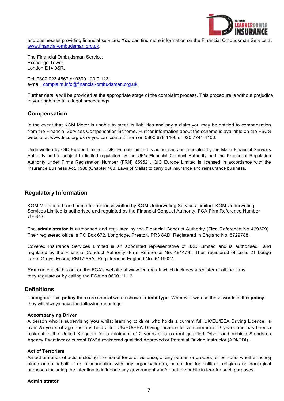

and businesses providing financial services. **You** can find more information on the Financial Ombudsman Service at www.financial-ombudsman.org.uk.

The Financial Ombudsman Service, Exchange Tower, London E14 9SR.

Tel: 0800 023 4567 or 0300 123 9 123; e-mail: complaint.info@financial-ombudsman.org.uk.

Further details will be provided at the appropriate stage of the complaint process. This procedure is without prejudice to your rights to take legal proceedings.

## **Compensation**

In the event that KGM Motor is unable to meet its liabilities and pay a claim you may be entitled to compensation from the Financial Services Compensation Scheme. Further information about the scheme is available on the FSCS website at www.fscs.org.uk or you can contact them on 0800 678 1100 or 020 7741 4100.

Underwritten by QIC Europe Limited – QIC Europe Limited is authorised and regulated by the Malta Financial Services Authority and is subject to limited regulation by the UK's Financial Conduct Authority and the Prudential Regulation Authority under Firms Registration Number (FRN) 659521. QIC Europe Limited is licensed in accordance with the Insurance Business Act, 1988 (Chapter 403, Laws of Malta) to carry out insurance and reinsurance business.

## **Regulatory Information**

KGM Motor is a brand name for business written by KGM Underwriting Services Limited. KGM Underwriting Services Limited is authorised and regulated by the Financial Conduct Authority, FCA Firm Reference Number 799643.

The **administrator** is authorised and regulated by the Financial Conduct Authority (Firm Reference No 469379). Their registered office is PO Box 672, Longridge, Preston, PR3 8AD. Registered in England No. 5729788.

Covered Insurance Services Limited is an appointed representative of 3XD Limited and is authorised and regulated by the Financial Conduct Authority (Firm Reference No. 481479). Their registered office is 21 Lodge Lane, Grays, Essex, RM17 5RY. Registered in England No. 5119027.

**You** can check this out on the FCA's website at www.fca.org.uk which includes a register of all the firms they regulate or by calling the FCA on 0800 111 6

## **Definitions**

Throughout this **policy** there are special words shown in **bold type**. Wherever **we** use these words in this **policy** they will always have the following meanings:

#### **Accompanying Driver**

A person who is supervising **you** whilst learning to drive who holds a current full UK/EU/EEA Driving Licence, is over 25 years of age and has held a full UK/EU/EEA Driving Licence for a minimum of 3 years and has been a resident in the United Kingdom for a minimum of 2 years or a current qualified Driver and Vehicle Standards Agency Examiner or current DVSA registered qualified Approved or Potential Driving Instructor (ADI/PDI).

#### **Act of Terrorism**

An act or series of acts, including the use of force or violence, of any person or group(s) of persons, whether acting alone or on behalf of or in connection with any organisation(s), committed for political, religious or ideological purposes including the intention to influence any government and/or put the public in fear for such purposes.

#### **Administrator**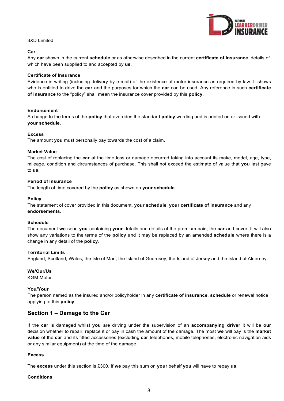

#### 3XD Limited

#### **Car**

Any **car** shown in the current **schedule** or as otherwise described in the current **certificate of insurance**, details of which have been supplied to and accepted by **us**.

#### **Certificate of Insurance**

Evidence in writing (including delivery by e-mail) of the existence of motor insurance as required by law. It shows who is entitled to drive the **car** and the purposes for which the **car** can be used. Any reference in such **certificate of insurance** to the "policy" shall mean the insurance cover provided by this **policy**.

#### **Endorsement**

A change to the terms of the **policy** that overrides the standard **policy** wording and is printed on or issued with **your schedule**.

#### **Excess**

The amount **you** must personally pay towards the cost of a claim.

#### **Market Value**

The cost of replacing the **car** at the time loss or damage occurred taking into account its make, model, age, type, mileage, condition and circumstances of purchase. This shall not exceed the estimate of value that **you** last gave to **us**.

#### **Period of Insurance**

The length of time covered by the **policy** as shown on **your schedule**.

#### **Policy**

The statement of cover provided in this document, **your schedule**, **your certificate of insurance** and any **endorsements**.

#### **Schedule**

The document **we** send **you** containing **your** details and details of the premium paid, the **car** and cover. It will also show any variations to the terms of the **policy** and it may be replaced by an amended **schedule** where there is a change in any detail of the **policy**.

#### **Territorial Limits**

England, Scotland, Wales, the Isle of Man, the Island of Guernsey, the Island of Jersey and the Island of Alderney.

#### **We/Our/Us**

KGM Motor

#### **You/Your**

The person named as the insured and/or policyholder in any **certificate of insurance**, **schedule** or renewal notice applying to this **policy**.

## **Section 1 – Damage to the Car**

If the **car** is damaged whilst **you** are driving under the supervision of an **accompanying driver** it will be **our**  decision whether to repair, replace it or pay in cash the amount of the damage. The most **we** will pay is the **market value** of the **car** and its fitted accessories (excluding **car** telephones, mobile telephones, electronic navigation aids or any similar equipment) at the time of the damage.

#### **Excess**

The **excess** under this section is £300. If **we** pay this sum on **your** behalf **you** will have to repay **us**.

#### **Conditions**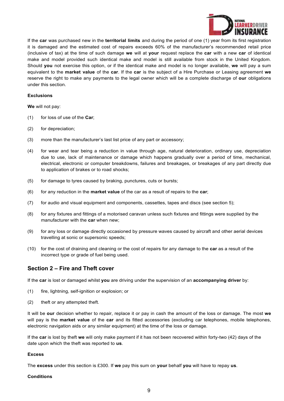

If the **car** was purchased new in the **territorial limits** and during the period of one (1) year from its first registration it is damaged and the estimated cost of repairs exceeds 60% of the manufacturer's recommended retail price (inclusive of tax) at the time of such damage **we** will at **your** request replace the **car** with a new **car** of identical make and model provided such identical make and model is still available from stock in the United Kingdom. Should **you** not exercise this option, or if the identical make and model is no longer available, **we** will pay a sum equivalent to the **market value** of the **car**. If the **car** is the subject of a Hire Purchase or Leasing agreement **we**  reserve the right to make any payments to the legal owner which will be a complete discharge of **our** obligations under this section.

#### **Exclusions**

**We** will not pay:

- (1) for loss of use of the **Car**;
- (2) for depreciation;
- (3) more than the manufacturer's last list price of any part or accessory;
- (4) for wear and tear being a reduction in value through age, natural deterioration, ordinary use, depreciation due to use, lack of maintenance or damage which happens gradually over a period of time, mechanical, electrical, electronic or computer breakdowns, failures and breakages, or breakages of any part directly due to application of brakes or to road shocks;
- (5) for damage to tyres caused by braking, punctures, cuts or bursts;
- (6) for any reduction in the **market value** of the car as a result of repairs to the **car**;
- (7) for audio and visual equipment and components, cassettes, tapes and discs (see section 5);
- (8) for any fixtures and fittings of a motorised caravan unless such fixtures and fittings were supplied by the manufacturer with the **car** when new;
- (9) for any loss or damage directly occasioned by pressure waves caused by aircraft and other aerial devices travelling at sonic or supersonic speeds;
- (10) for the cost of draining and cleaning or the cost of repairs for any damage to the **car** as a result of the incorrect type or grade of fuel being used.

# **Section 2 – Fire and Theft cover**

If the **car** is lost or damaged whilst **you** are driving under the supervision of an **accompanying driver** by:

- (1) fire, lightning, self-ignition or explosion; or
- (2) theft or any attempted theft.

It will be **our** decision whether to repair, replace it or pay in cash the amount of the loss or damage. The most **we**  will pay is the **market value** of the **car** and its fitted accessories (excluding car telephones, mobile telephones, electronic navigation aids or any similar equipment) at the time of the loss or damage.

If the **car** is lost by theft **we** will only make payment if it has not been recovered within forty-two (42) days of the date upon which the theft was reported to **us**.

#### **Excess**

The **excess** under this section is £300. If **we** pay this sum on **your** behalf **you** will have to repay **us**.

#### **Conditions**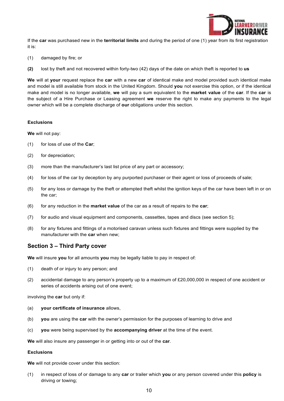

If the **car** was purchased new in the **territorial limits** and during the period of one (1) year from its first registration it is:

- (1) damaged by fire; or
- **(2)** lost by theft and not recovered within forty-two (42) days of the date on which theft is reported to **us**

**We** will at **your** request replace the **car** with a new **car** of identical make and model provided such identical make and model is still available from stock in the United Kingdom. Should **you** not exercise this option, or if the identical make and model is no longer available, **we** will pay a sum equivalent to the **market value** of the **car**. If the **car** is the subject of a Hire Purchase or Leasing agreement **we** reserve the right to make any payments to the legal owner which will be a complete discharge of **our** obligations under this section.

#### **Exclusions**

**We** will not pay:

- (1) for loss of use of the **Car**;
- (2) for depreciation;
- (3) more than the manufacturer's last list price of any part or accessory;
- (4) for loss of the car by deception by any purported purchaser or their agent or loss of proceeds of sale;
- (5) for any loss or damage by the theft or attempted theft whilst the ignition keys of the car have been left in or on the car;
- (6) for any reduction in the **market value** of the car as a result of repairs to the **car**;
- (7) for audio and visual equipment and components, cassettes, tapes and discs (see section 5);
- (8) for any fixtures and fittings of a motorised caravan unless such fixtures and fittings were supplied by the manufacturer with the **car** when new;

## **Section 3 – Third Party cover**

**We** will insure **you** for all amounts **you** may be legally liable to pay in respect of:

- (1) death of or injury to any person; and
- (2) accidental damage to any person's property up to a maximum of £20,000,000 in respect of one accident or series of accidents arising out of one event;

involving the **car** but only if:

- (a) **your certificate of insurance** allows,
- (b) **you** are using the **car** with the owner's permission for the purposes of learning to drive and
- (c) **you** were being supervised by the **accompanying driver** at the time of the event.

**We** will also insure any passenger in or getting into or out of the **car**.

#### **Exclusions**

**We** will not provide cover under this section:

(1) in respect of loss of or damage to any **car** or trailer which **you** or any person covered under this **policy** is driving or towing;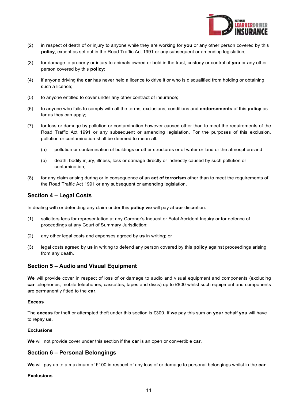

- (2) in respect of death of or injury to anyone while they are working for **you** or any other person covered by this **policy**, except as set out in the Road Traffic Act 1991 or any subsequent or amending legislation;
- (3) for damage to property or injury to animals owned or held in the trust, custody or control of **you** or any other person covered by this **policy**;
- (4) if anyone driving the **car** has never held a licence to drive it or who is disqualified from holding or obtaining such a licence;
- (5) to anyone entitled to cover under any other contract of insurance;
- (6) to anyone who fails to comply with all the terms, exclusions, conditions and **endorsements** of this **policy** as far as they can apply;
- (7) for loss or damage by pollution or contamination however caused other than to meet the requirements of the Road Traffic Act 1991 or any subsequent or amending legislation. For the purposes of this exclusion, pollution or contamination shall be deemed to mean all:
	- (a) pollution or contamination of buildings or other structures or of water or land or the atmosphere and
	- (b) death, bodily injury, illness, loss or damage directly or indirectly caused by such pollution or contamination;
- (8) for any claim arising during or in consequence of an **act of terrorism** other than to meet the requirements of the Road Traffic Act 1991 or any subsequent or amending legislation.

## **Section 4 – Legal Costs**

In dealing with or defending any claim under this **policy we** will pay at **our** discretion:

- (1) solicitors fees for representation at any Coroner's Inquest or Fatal Accident Inquiry or for defence of proceedings at any Court of Summary Jurisdiction;
- (2) any other legal costs and expenses agreed by **us** in writing; or
- (3) legal costs agreed by **us** in writing to defend any person covered by this **policy** against proceedings arising from any death.

## **Section 5 – Audio and Visual Equipment**

**We** will provide cover in respect of loss of or damage to audio and visual equipment and components (excluding **car** telephones, mobile telephones, cassettes, tapes and discs) up to £800 whilst such equipment and components are permanently fitted to the **car**.

#### **Excess**

The **excess** for theft or attempted theft under this section is £300. If **we** pay this sum on **your** behalf **you** will have to repay **us**.

#### **Exclusions**

**We** will not provide cover under this section if the **car** is an open or convertible **car**.

## **Section 6 – Personal Belongings**

**We** will pay up to a maximum of £100 in respect of any loss of or damage to personal belongings whilst in the **car**.

#### **Exclusions**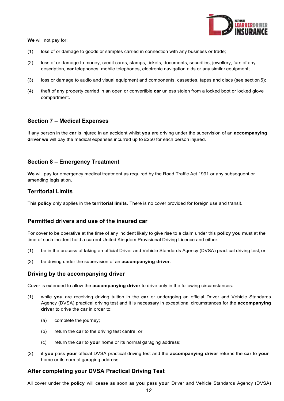

**We** will not pay for:

- (1) loss of or damage to goods or samples carried in connection with any business or trade;
- (2) loss of or damage to money, credit cards, stamps, tickets, documents, securities, jewellery, furs of any description, **car** telephones, mobile telephones, electronic navigation aids or any similar equipment;
- (3) loss or damage to audio and visual equipment and components, cassettes, tapes and discs (see section 5);
- (4) theft of any property carried in an open or convertible **car** unless stolen from a locked boot or locked glove compartment.

# **Section 7 – Medical Expenses**

If any person in the **car** is injured in an accident whilst **you** are driving under the supervision of an **accompanying driver we** will pay the medical expenses incurred up to £250 for each person injured.

# **Section 8 – Emergency Treatment**

**We** will pay for emergency medical treatment as required by the Road Traffic Act 1991 or any subsequent or amending legislation.

## **Territorial Limits**

This **policy** only applies in the **territorial limits**. There is no cover provided for foreign use and transit.

## **Permitted drivers and use of the insured car**

For cover to be operative at the time of any incident likely to give rise to a claim under this **policy you** must at the time of such incident hold a current United Kingdom Provisional Driving Licence and either:

- (1) be in the process of taking an official Driver and Vehicle Standards Agency (DVSA) practical driving test; or
- (2) be driving under the supervision of an **accompanying driver**.

## **Driving by the accompanying driver**

Cover is extended to allow the **accompanying driver** to drive only in the following circumstances:

- (1) while **you** are receiving driving tuition in the **car** or undergoing an official Driver and Vehicle Standards Agency (DVSA) practical driving test and it is necessary in exceptional circumstances for the **accompanying driver** to drive the **car** in order to:
	- (a) complete the journey;
	- (b) return the **car** to the driving test centre; or
	- (c) return the **car** to **your** home or its normal garaging address;
- (2) if **you** pass **your** official DVSA practical driving test and the **accompanying driver** returns the **car** to **your** home or its normal garaging address.

# **After completing your DVSA Practical Driving Test**

All cover under the **policy** will cease as soon as **you** pass **your** Driver and Vehicle Standards Agency (DVSA)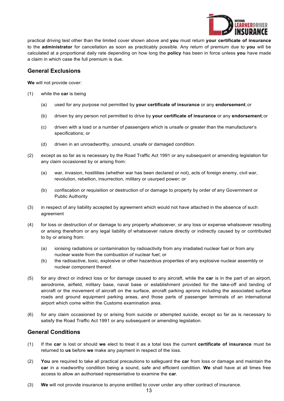

practical driving test other than the limited cover shown above and **you** must return **your certificate of insurance**  to the **administrator** for cancellation as soon as practicably possible. Any return of premium due to **you** will be calculated at a proportional daily rate depending on how long the **policy** has been in force unless **you** have made a claim in which case the full premium is due.

# **General Exclusions**

**We** will not provide cover:

- (1) while the **car** is being
	- (a) used for any purpose not permitted by **your certificate of insurance** or any **endorsement**; or
	- (b) driven by any person not permitted to drive by **your certificate of insurance** or any **endorsement**; or
	- (c) driven with a load or a number of passengers which is unsafe or greater than the manufacturer's specifications; or
	- (d) driven in an unroadworthy, unsound, unsafe or damaged condition.
- (2) except as so far as is necessary by the Road Traffic Act 1991 or any subsequent or amending legislation for any claim occasioned by or arising from:
	- (a) war, invasion, hostilities (whether war has been declared or not), acts of foreign enemy, civil war, revolution, rebellion, insurrection, military or usurped power; or
	- (b) confiscation or requisition or destruction of or damage to property by order of any Government or Public Authority
- (3) in respect of any liability accepted by agreement which would not have attached in the absence of such agreement
- (4) for loss or destruction of or damage to any property whatsoever, or any loss or expense whatsoever resulting or arising therefrom or any legal liability of whatsoever nature directly or indirectly caused by or contributed to by or arising from:
	- (a) ionising radiations or contamination by radioactivity from any irradiated nuclear fuel or from any nuclear waste from the combustion of nuclear fuel; or
	- (b) the radioactive, toxic, explosive or other hazardous properties of any explosive nuclear assembly or nuclear component thereof.
- (5) for any direct or indirect loss or for damage caused to any aircraft, while the **car** is in the part of an airport, aerodrome, airfield, military base, naval base or establishment provided for the take-off and landing of aircraft or the movement of aircraft on the surface, aircraft parking aprons including the associated surface roads and ground equipment parking areas, and those parts of passenger terminals of an international airport which come within the Customs examination area.
- (6) for any claim occasioned by or arising from suicide or attempted suicide, except so far as is necessary to satisfy the Road Traffic Act 1991 or any subsequent or amending legislation.

# **General Conditions**

- (1) If the **car** is lost or should **we** elect to treat it as a total loss the current **certificate of insurance** must be returned to **us** before **we** make any payment in respect of the loss.
- (2) **You** are required to take all practical precautions to safeguard the **car** from loss or damage and maintain the **car** in a roadworthy condition being a sound, safe and efficient condition. **We** shall have at all times free access to allow an authorised representative to examine the **car**.
- (3) **We** will not provide insurance to anyone entitled to cover under any other contract of insurance.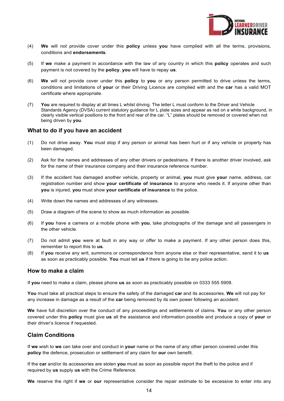

- (4) **We** will not provide cover under this **policy** unless **you** have complied with all the terms, provisions, conditions and **endorsements**.
- (5) If **we** make a payment in accordance with the law of any country in which this **policy** operates and such payment is not covered by the **policy**, **you** will have to repay **us**.
- (6) **We** will not provide cover under this **policy** to **you** or any person permitted to drive unless the terms, conditions and limitations of **your** or their Driving Licence are complied with and the **car** has a valid MOT certificate where appropriate.
- (7) **You** are required to display at all times L whilst driving. The letter L must conform to the Driver and Vehicle Standards Agency (DVSA) current statutory guidance for L plate sizes and appear as red on a white background, in clearly visible vertical positions to the front and rear of the car. "L" plates should be removed or covered when not being driven by **you**.

## **What to do if you have an accident**

- (1) Do not drive away. **You** must stop if any person or animal has been hurt or if any vehicle or property has been damaged.
- (2) Ask for the names and addresses of any other drivers or pedestrians. If there is another driver involved, ask for the name of their insurance company and their insurance reference number.
- (3) If the accident has damaged another vehicle, property or animal, **you** must give **your** name, address, car registration number and show **your certificate of insurance** to anyone who needs it. If anyone other than **you** is injured, **you** must show **your certificate of insurance** to the police.
- (4) Write down the names and addresses of any witnesses.
- (5) Draw a diagram of the scene to show as much information as possible.
- (6) If **you** have a camera or a mobile phone with **you**, take photographs of the damage and all passengers in the other vehicle.
- (7) Do not admit **you** were at fault in any way or offer to make a payment. If any other person does this, remember to report this to **us**.
- (8) If **you** receive any writ, summons or correspondence from anyone else or their representative, send it to **us** as soon as practicably possible. **You** must tell **us** if there is going to be any police action.

## **How to make a claim**

If **you** need to make a claim, please phone **us** as soon as practicably possible on 0333 555 5909.

**You** must take all practical steps to ensure the safety of the damaged **car** and its accessories. **We** will not pay for any increase in damage as a result of the **car** being removed by its own power following an accident.

**We** have full discretion over the conduct of any proceedings and settlements of claims. **You** or any other person covered under this **policy** must give **us** all the assistance and information possible and produce a copy of **your** or their driver's licence if requested.

## **Claim Conditions**

If **we** wish to **we** can take over and conduct in **your** name or the name of any other person covered under this **policy** the defence, prosecution or settlement of any claim for **our** own benefit.

If the **car** and/or its accessories are stolen **you** must as soon as possible report the theft to the police and if required by **us** supply **us** with the Crime Reference.

**We** reserve the right if **we** or **our** representative consider the repair estimate to be excessive to enter into any